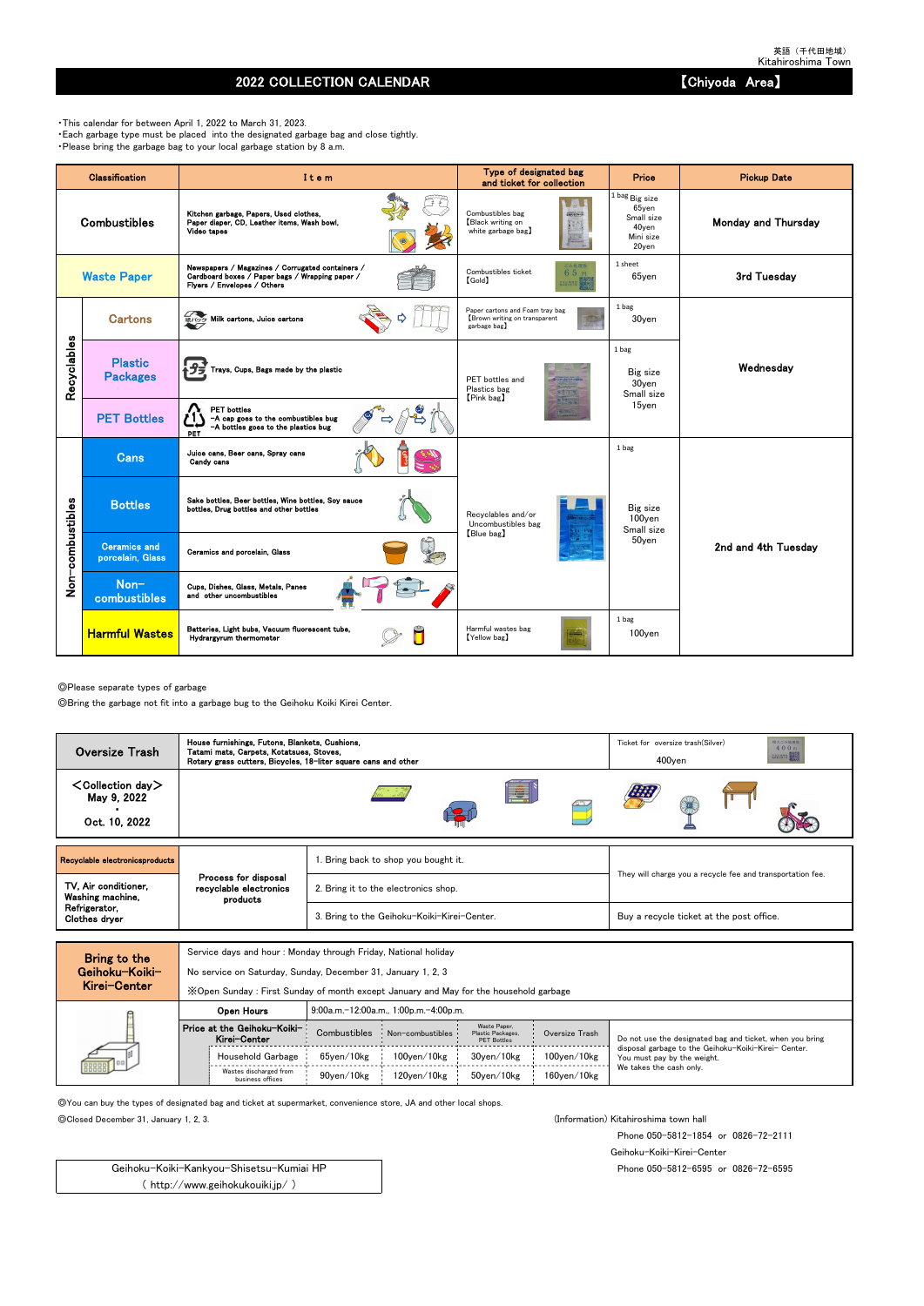## 2022 COLLECTION CALENDAR **No. 2022 COLLECTION** CALENDAR

◎Please separate types of garbage

◎Bring the garbage not fit into a garbage bug to the Geihoku Koiki Kirei Center.

Service days and hour : Monday through Friday, National holiday

No service on Saturday, Sunday, December 31, January 1, 2, 3

◎You can buy the types of designated bag and ticket at supermarket, convenience store, JA and other local shops.

◎Closed December 31, January 1, 2, 3. (Information) Kitahiroshima town hall

Phone 050-5812-1854 or 0826-72-2111

Geihoku-Koiki-Kirei-Center

Phone 050-5812-6595 or 0826-72-6595

・This calendar for between April 1, 2022 to March 31, 2023. ・Each garbage type must be placed into the designated garbage bag and close tightly. ・Please bring the garbage bag to your local garbage station by 8 a.m.

|                  | Classification                          | Item                                                                                                                               | Type of designated bag<br>and ticket for collection                             | <b>Price</b>                                                               | <b>Pickup Date</b>         |
|------------------|-----------------------------------------|------------------------------------------------------------------------------------------------------------------------------------|---------------------------------------------------------------------------------|----------------------------------------------------------------------------|----------------------------|
|                  | <b>Combustibles</b>                     | Kitchen garbage, Papers, Used clothes,<br>Paper diaper, CD, Leather items, Wash bowl,<br>Video tapes                               | Combustibles bag<br>Black writing on<br>white garbage bag)                      | 1 bag Big size<br>$65$ yen<br>Small size<br>40yen<br>Mini size<br>$20$ yen | <b>Monday and Thursday</b> |
|                  | <b>Waste Paper</b>                      | Newspapers / Magazines / Corrugated containers /<br>Cardboard boxes / Paper bags / Wrapping paper /<br>Flyers / Envelopes / Others | ごみ処理券<br>Combustibles ticket<br>65円<br>$[\text{Gold}]$<br>主出 地界塔 田              | 1 sheet<br>$65$ yen                                                        | 3rd Tuesday                |
|                  | <b>Cartons</b>                          | 紙/WS Milk cartons, Juice cartons                                                                                                   | Paper cartons and Foam tray bag<br>Brown writing on transparent<br>garbage bag) | 1 bag<br>30yen                                                             |                            |
| Recyclables      | <b>Plastic</b><br><b>Packages</b>       | Trays, Cups, Bags made by the plastic                                                                                              | PET bottles and<br>Plastics bag<br>[Pink bag]                                   | 1 bag<br>Big size<br>30yen<br>Small size                                   | Wednesday                  |
|                  | <b>PET Bottles</b>                      | <b>PET</b> bottles<br>-A cap goes to the combustibles bug<br>-A bottles goes to the plastics bug<br>PET                            |                                                                                 | 15ven                                                                      |                            |
|                  | <b>Cans</b>                             | Juice cans, Beer cans, Spray cans<br>Candy cans                                                                                    |                                                                                 | 1 bag                                                                      |                            |
|                  | <b>Bottles</b>                          | Sake bottles, Beer bottles, Wine bottles, Soy sauce<br>bottles, Drug bottles and other bottles                                     | Recvolables and/or<br>Uncombustibles bag                                        | Big size<br>100yen<br>Small size                                           |                            |
| Non-combustibles | <b>Ceramics and</b><br>porcelain, Glass | Ceramics and porcelain, Glass                                                                                                      | [Blue bag]                                                                      | 50yen                                                                      | 2nd and 4th Tuesdav        |
|                  | Non-<br>combustibles                    | Cups, Dishes, Glass, Metals, Panes<br>and other uncombustibles                                                                     |                                                                                 |                                                                            |                            |
|                  | <b>Harmful Wastes</b>                   | Batteries, Light bubs, Vacuum fluorescent tube,<br>Hydrargyrum thermometer                                                         | Harmful wastes bag<br>[Yellow bag]                                              | 1 bag<br>100yen                                                            |                            |

| MIGI VEILEI | X Open Sunday: First Sunday of month except January and May for the household garbage |              |                                       |                                                         |                    |                                                                                     |  |  |  |  |  |  |
|-------------|---------------------------------------------------------------------------------------|--------------|---------------------------------------|---------------------------------------------------------|--------------------|-------------------------------------------------------------------------------------|--|--|--|--|--|--|
|             | Open Hours                                                                            |              | 9:00a.m.-12:00a.m., 1:00p.m.-4:00p.m. |                                                         |                    |                                                                                     |  |  |  |  |  |  |
|             | Price at the Geihoku-Koiki-<br>Kirei-Center                                           | Combustibles | Non-combustibles                      | Waste Paper.<br>Plastic Packages,<br><b>PET Bottles</b> | Oversize Trash     | Do not use the designated bag and ticket, when you bring                            |  |  |  |  |  |  |
| 000000      | Household Garbage                                                                     | 65ven/10kg   | $100$ ven $/10$ kg                    | 30ven/10kg                                              | $100$ yen $/10$ kg | disposal garbage to the Geihoku-Koiki-Kirei- Center.<br>You must pay by the weight. |  |  |  |  |  |  |
|             | Wastes discharged from<br>business offices                                            | 90ven/10kg   | 120ven/10kg                           | 50ven/10kg                                              | $160$ ven $/10$ kg | We takes the cash only.                                                             |  |  |  |  |  |  |

Geihoku-Koiki-Kankyou-Shisetsu-Kumiai HP ( http://www.geihokukouiki.jp/ )

| <b>Oversize Trash</b>                                     | House furnishings, Futons, Blankets, Cushions,<br>Tatami mats, Carpets, Kotatsues, Stoves,<br>Rotary grass cutters, Bicycles, 18-liter square cans and other |                                             | 粗大ごみ処理器<br>Ticket for oversize trash(Silver)<br>400円<br><b>BACHER BERTH</b><br>$400$ yen |  |  |
|-----------------------------------------------------------|--------------------------------------------------------------------------------------------------------------------------------------------------------------|---------------------------------------------|------------------------------------------------------------------------------------------|--|--|
| $\textsf{Collection day}$<br>May 9, 2022<br>Oct. 10, 2022 |                                                                                                                                                              | E                                           |                                                                                          |  |  |
| Recyclable electronicsproducts                            |                                                                                                                                                              | 1. Bring back to shop you bought it.        |                                                                                          |  |  |
| TV. Air conditioner.<br>Washing machine,                  | Process for disposal<br>recyclable electronics<br>products                                                                                                   | 2. Bring it to the electronics shop.        | They will charge you a recycle fee and transportation fee.                               |  |  |
| Refrigerator,<br>Clothes dryer                            |                                                                                                                                                              | 3. Bring to the Geihoku-Koiki-Kirei-Center. | Buy a recycle ticket at the post office.                                                 |  |  |
|                                                           |                                                                                                                                                              |                                             |                                                                                          |  |  |

| Bring to the   |
|----------------|
| Geihoku−Koiki− |
| Kirei-Center   |